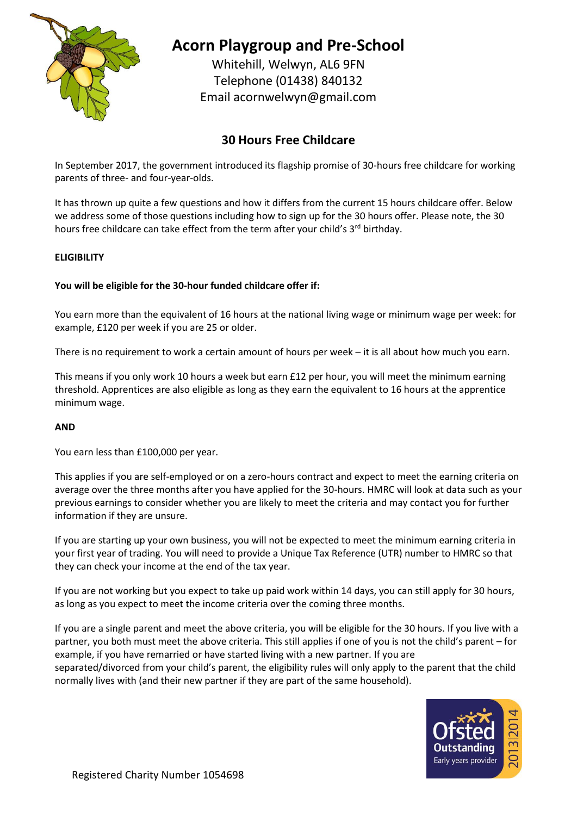

# **Acorn Playgroup and Pre-School**

Whitehill, Welwyn, AL6 9FN Telephone (01438) 840132 Email [acornwelwyn@gmail.com](mailto:acornwelwyn@gmail.com)

# **30 Hours Free Childcare**

In September 2017, the government introduced its flagship promise of 30-hours free childcare for working parents of three- and four-year-olds.

It has thrown up quite a few questions and how it differs from the current 15 hours childcare offer. Below we address some of those questions including how to sign up for the 30 hours offer. Please note, the 30 hours free childcare can take effect from the term after your child's 3<sup>rd</sup> birthday.

# **ELIGIBILITY**

# **You will be eligible for the 30-hour funded childcare offer if:**

You earn more than the equivalent of 16 hours at the national living wage or minimum wage per week: for example, £120 per week if you are 25 or older.

There is no requirement to work a certain amount of hours per week – it is all about how much you earn.

This means if you only work 10 hours a week but earn £12 per hour, you will meet the minimum earning threshold. Apprentices are also eligible as long as they earn the equivalent to 16 hours at the apprentice minimum wage.

# **AND**

You earn less than £100,000 per year.

This applies if you are self-employed or on a zero-hours contract and expect to meet the earning criteria on average over the three months after you have applied for the 30-hours. HMRC will look at data such as your previous earnings to consider whether you are likely to meet the criteria and may contact you for further information if they are unsure.

If you are starting up your own business, you will not be expected to meet the minimum earning criteria in your first year of trading. You will need to provide a Unique Tax Reference (UTR) number to HMRC so that they can check your income at the end of the tax year.

If you are not working but you expect to take up paid work within 14 days, you can still apply for 30 hours, as long as you expect to meet the income criteria over the coming three months.

If you are a single parent and meet the above criteria, you will be eligible for the 30 hours. If you live with a partner, you both must meet the above criteria. This still applies if one of you is not the child's parent – for example, if you have remarried or have started living with a new partner. If you are

separated/divorced from your child's parent, the eligibility rules will only apply to the parent that the child normally lives with (and their new partner if they are part of the same household).

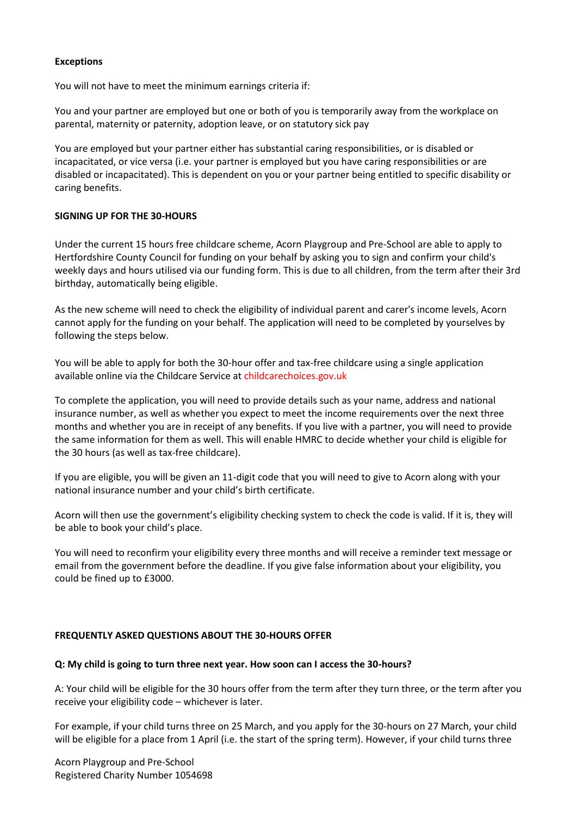#### **Exceptions**

You will not have to meet the minimum earnings criteria if:

You and your partner are employed but one or both of you is temporarily away from the workplace on parental, maternity or paternity, adoption leave, or on statutory sick pay

You are employed but your partner either has substantial caring responsibilities, or is disabled or incapacitated, or vice versa (i.e. your partner is employed but you have caring responsibilities or are disabled or incapacitated). This is dependent on you or your partner being entitled to specific disability or caring benefits.

#### **SIGNING UP FOR THE 30-HOURS**

Under the current 15 hours free childcare scheme, Acorn Playgroup and Pre-School are able to apply to Hertfordshire County Council for funding on your behalf by asking you to sign and confirm your child's weekly days and hours utilised via our funding form. This is due to all children, from the term after their 3rd birthday, automatically being eligible.

As the new scheme will need to check the eligibility of individual parent and carer's income levels, Acorn cannot apply for the funding on your behalf. The application will need to be completed by yourselves by following the steps below.

You will be able to apply for both the 30-hour offer and tax-free childcare using a single application available online via the Childcare Service at childcarechoices.gov.uk

To complete the application, you will need to provide details such as your name, address and national insurance number, as well as whether you expect to meet the income requirements over the next three months and whether you are in receipt of any benefits. If you live with a partner, you will need to provide the same information for them as well. This will enable HMRC to decide whether your child is eligible for the 30 hours (as well as tax-free childcare).

If you are eligible, you will be given an 11-digit code that you will need to give to Acorn along with your national insurance number and your child's birth certificate.

Acorn will then use the government's eligibility checking system to check the code is valid. If it is, they will be able to book your child's place.

You will need to reconfirm your eligibility every three months and will receive a reminder text message or email from the government before the deadline. If you give false information about your eligibility, you could be fined up to £3000.

#### **FREQUENTLY ASKED QUESTIONS ABOUT THE 30-HOURS OFFER**

#### **Q: My child is going to turn three next year. How soon can I access the 30-hours?**

A: Your child will be eligible for the 30 hours offer from the term after they turn three, or the term after you receive your eligibility code – whichever is later.

For example, if your child turns three on 25 March, and you apply for the 30-hours on 27 March, your child will be eligible for a place from 1 April (i.e. the start of the spring term). However, if your child turns three

Acorn Playgroup and Pre-School Registered Charity Number 1054698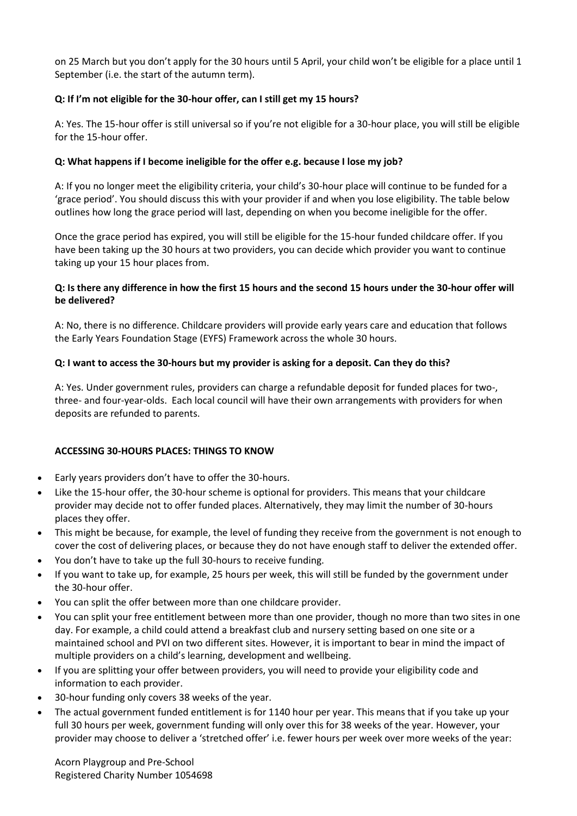on 25 March but you don't apply for the 30 hours until 5 April, your child won't be eligible for a place until 1 September (i.e. the start of the autumn term).

# **Q: If I'm not eligible for the 30-hour offer, can I still get my 15 hours?**

A: Yes. The 15-hour offer is still universal so if you're not eligible for a 30-hour place, you will still be eligible for the 15-hour offer.

# **Q: What happens if I become ineligible for the offer e.g. because I lose my job?**

A: If you no longer meet the eligibility criteria, your child's 30-hour place will continue to be funded for a 'grace period'. You should discuss this with your provider if and when you lose eligibility. The table below outlines how long the grace period will last, depending on when you become ineligible for the offer.

Once the grace period has expired, you will still be eligible for the 15-hour funded childcare offer. If you have been taking up the 30 hours at two providers, you can decide which provider you want to continue taking up your 15 hour places from.

#### **Q: Is there any difference in how the first 15 hours and the second 15 hours under the 30-hour offer will be delivered?**

A: No, there is no difference. Childcare providers will provide early years care and education that follows the Early Years Foundation Stage (EYFS) Framework across the whole 30 hours.

#### **Q: I want to access the 30-hours but my provider is asking for a deposit. Can they do this?**

A: Yes. Under government rules, providers can charge a refundable deposit for funded places for two-, three- and four-year-olds. Each local council will have their own arrangements with providers for when deposits are refunded to parents.

#### **ACCESSING 30-HOURS PLACES: THINGS TO KNOW**

- Early years providers don't have to offer the 30-hours.
- Like the 15-hour offer, the 30-hour scheme is optional for providers. This means that your childcare provider may decide not to offer funded places. Alternatively, they may limit the number of 30-hours places they offer.
- This might be because, for example, the level of funding they receive from the government is not enough to cover the cost of delivering places, or because they do not have enough staff to deliver the extended offer.
- You don't have to take up the full 30-hours to receive funding.
- If you want to take up, for example, 25 hours per week, this will still be funded by the government under the 30-hour offer.
- You can split the offer between more than one childcare provider.
- You can split your free entitlement between more than one provider, though no more than two sites in one day. For example, a child could attend a breakfast club and nursery setting based on one site or a maintained school and PVI on two different sites. However, it is important to bear in mind the impact of multiple providers on a child's learning, development and wellbeing.
- If you are splitting your offer between providers, you will need to provide your eligibility code and information to each provider.
- 30-hour funding only covers 38 weeks of the year.
- The actual government funded entitlement is for 1140 hour per year. This means that if you take up your full 30 hours per week, government funding will only over this for 38 weeks of the year. However, your provider may choose to deliver a 'stretched offer' i.e. fewer hours per week over more weeks of the year:

Acorn Playgroup and Pre-School Registered Charity Number 1054698